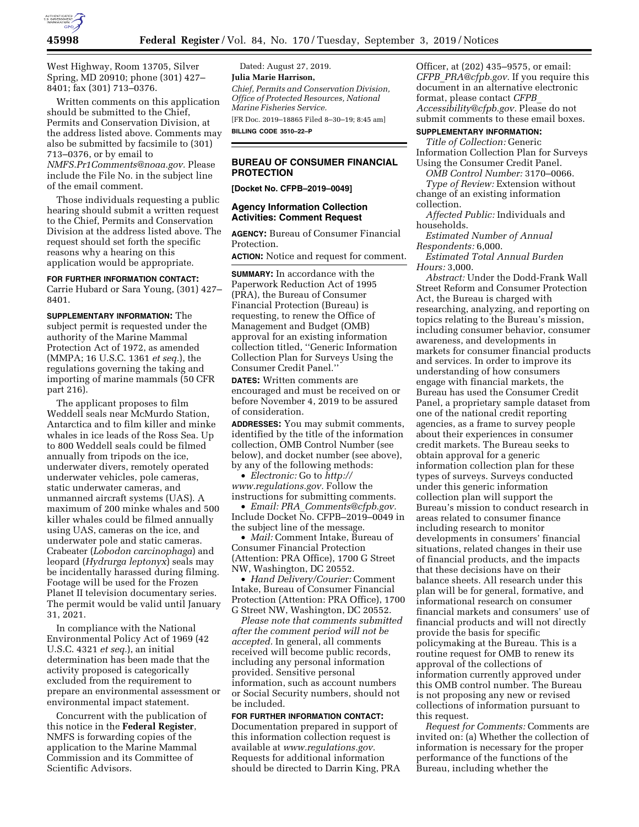

West Highway, Room 13705, Silver Spring, MD 20910; phone (301) 427– 8401; fax (301) 713–0376.

Written comments on this application should be submitted to the Chief, Permits and Conservation Division, at the address listed above. Comments may also be submitted by facsimile to (301) 713–0376, or by email to *[NMFS.Pr1Comments@noaa.gov.](mailto:NMFS.Pr1Comments@noaa.gov)* Please include the File No. in the subject line of the email comment.

Those individuals requesting a public hearing should submit a written request to the Chief, Permits and Conservation Division at the address listed above. The request should set forth the specific reasons why a hearing on this application would be appropriate.

#### **FOR FURTHER INFORMATION CONTACT:**

Carrie Hubard or Sara Young, (301) 427– 8401.

**SUPPLEMENTARY INFORMATION:** The subject permit is requested under the authority of the Marine Mammal Protection Act of 1972, as amended (MMPA; 16 U.S.C. 1361 *et seq.*), the regulations governing the taking and importing of marine mammals (50 CFR part 216).

The applicant proposes to film Weddell seals near McMurdo Station, Antarctica and to film killer and minke whales in ice leads of the Ross Sea. Up to 800 Weddell seals could be filmed annually from tripods on the ice, underwater divers, remotely operated underwater vehicles, pole cameras, static underwater cameras, and unmanned aircraft systems (UAS). A maximum of 200 minke whales and 500 killer whales could be filmed annually using UAS, cameras on the ice, and underwater pole and static cameras. Crabeater (*Lobodon carcinophaga*) and leopard (*Hydrurga leptonyx*) seals may be incidentally harassed during filming. Footage will be used for the Frozen Planet II television documentary series. The permit would be valid until January 31, 2021.

In compliance with the National Environmental Policy Act of 1969 (42 U.S.C. 4321 *et seq.*), an initial determination has been made that the activity proposed is categorically excluded from the requirement to prepare an environmental assessment or environmental impact statement.

Concurrent with the publication of this notice in the **Federal Register**, NMFS is forwarding copies of the application to the Marine Mammal Commission and its Committee of Scientific Advisors.

Dated: August 27, 2019. **Julia Marie Harrison,**  *Chief, Permits and Conservation Division, Office of Protected Resources, National Marine Fisheries Service.*  [FR Doc. 2019–18865 Filed 8–30–19; 8:45 am]

**BILLING CODE 3510–22–P** 

# **BUREAU OF CONSUMER FINANCIAL PROTECTION**

**[Docket No. CFPB–2019–0049]** 

# **Agency Information Collection Activities: Comment Request**

**AGENCY:** Bureau of Consumer Financial Protection.

**ACTION:** Notice and request for comment.

**SUMMARY:** In accordance with the Paperwork Reduction Act of 1995 (PRA), the Bureau of Consumer Financial Protection (Bureau) is requesting, to renew the Office of Management and Budget (OMB) approval for an existing information collection titled, ''Generic Information Collection Plan for Surveys Using the Consumer Credit Panel.''

**DATES:** Written comments are encouraged and must be received on or before November 4, 2019 to be assured of consideration.

**ADDRESSES:** You may submit comments, identified by the title of the information collection, OMB Control Number (see below), and docket number (see above), by any of the following methods:

• *Electronic:* Go to *[http://](http://www.regulations.gov) [www.regulations.gov.](http://www.regulations.gov)* Follow the instructions for submitting comments.

• *Email: PRA*\_*[Comments@cfpb.gov.](mailto:PRA_Comments@cfpb.gov)*  Include Docket No. CFPB–2019–0049 in the subject line of the message.

• *Mail:* Comment Intake, Bureau of Consumer Financial Protection (Attention: PRA Office), 1700 G Street NW, Washington, DC 20552.

• *Hand Delivery/Courier:* Comment Intake, Bureau of Consumer Financial Protection (Attention: PRA Office), 1700 G Street NW, Washington, DC 20552.

*Please note that comments submitted after the comment period will not be accepted.* In general, all comments received will become public records, including any personal information provided. Sensitive personal information, such as account numbers or Social Security numbers, should not be included.

**FOR FURTHER INFORMATION CONTACT:**  Documentation prepared in support of this information collection request is available at *[www.regulations.gov.](http://www.regulations.gov)*  Requests for additional information should be directed to Darrin King, PRA

Officer, at (202) 435–9575, or email: *CFPB*\_*[PRA@cfpb.gov.](mailto:CFPB_PRA@cfpb.gov)* If you require this document in an alternative electronic format, please contact *[CFPB](mailto:CFPB_Accessibility@cfpb.gov)*\_ *[Accessibility@cfpb.gov.](mailto:CFPB_Accessibility@cfpb.gov)* Please do not submit comments to these email boxes.

## **SUPPLEMENTARY INFORMATION:**

*Title of Collection:* Generic Information Collection Plan for Surveys Using the Consumer Credit Panel.

*OMB Control Number:* 3170–0066. *Type of Review:* Extension without

change of an existing information collection.

*Affected Public:* Individuals and households.

*Estimated Number of Annual Respondents:* 6,000.

*Estimated Total Annual Burden Hours:* 3,000.

*Abstract:* Under the Dodd-Frank Wall Street Reform and Consumer Protection Act, the Bureau is charged with researching, analyzing, and reporting on topics relating to the Bureau's mission, including consumer behavior, consumer awareness, and developments in markets for consumer financial products and services. In order to improve its understanding of how consumers engage with financial markets, the Bureau has used the Consumer Credit Panel, a proprietary sample dataset from one of the national credit reporting agencies, as a frame to survey people about their experiences in consumer credit markets. The Bureau seeks to obtain approval for a generic information collection plan for these types of surveys. Surveys conducted under this generic information collection plan will support the Bureau's mission to conduct research in areas related to consumer finance including research to monitor developments in consumers' financial situations, related changes in their use of financial products, and the impacts that these decisions have on their balance sheets. All research under this plan will be for general, formative, and informational research on consumer financial markets and consumers' use of financial products and will not directly provide the basis for specific policymaking at the Bureau. This is a routine request for OMB to renew its approval of the collections of information currently approved under this OMB control number. The Bureau is not proposing any new or revised collections of information pursuant to this request.

*Request for Comments:* Comments are invited on: (a) Whether the collection of information is necessary for the proper performance of the functions of the Bureau, including whether the